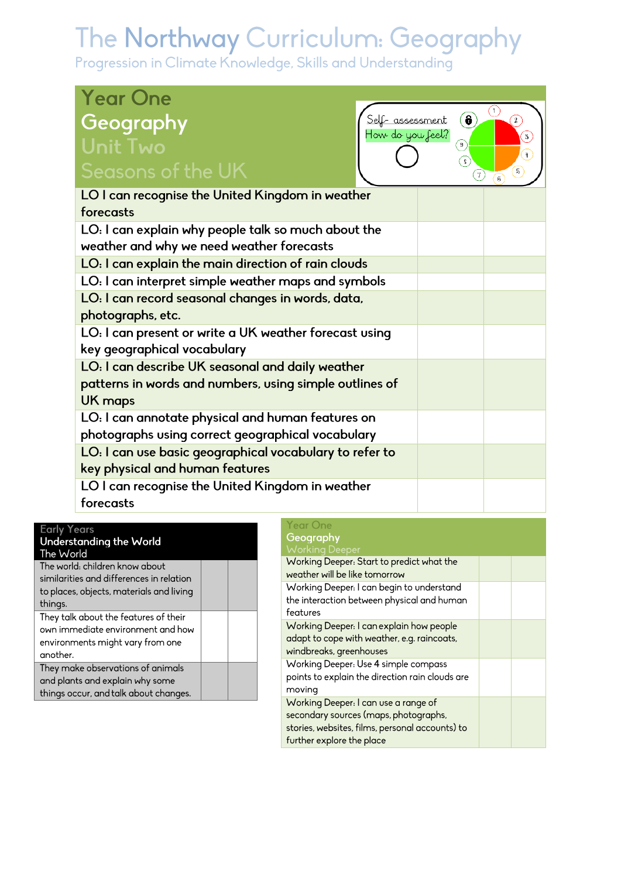| <b>Year One</b>                                         |                             |                                       |
|---------------------------------------------------------|-----------------------------|---------------------------------------|
| Geography                                               | $\circledast$<br>assessment | C<br>$\left( \mathbf{2}\right)$       |
| How do you feel?<br><b>Unit Two</b>                     | 9                           | $\overline{3}$<br>$\ddot{\mathrm{H}}$ |
| Seasons of the UK                                       | $\mathbf{s}$<br>7)          | $\sqrt{5}$                            |
| LO I can recognise the United Kingdom in weather        |                             |                                       |
| forecasts                                               |                             |                                       |
| LO: I can explain why people talk so much about the     |                             |                                       |
| weather and why we need weather forecasts               |                             |                                       |
| LO: I can explain the main direction of rain clouds     |                             |                                       |
| LO: I can interpret simple weather maps and symbols     |                             |                                       |
| LO: I can record seasonal changes in words, data,       |                             |                                       |
| photographs, etc.                                       |                             |                                       |
| LO: I can present or write a UK weather forecast using  |                             |                                       |
| key geographical vocabulary                             |                             |                                       |
| LO: I can describe UK seasonal and daily weather        |                             |                                       |
| patterns in words and numbers, using simple outlines of |                             |                                       |
| <b>UK maps</b>                                          |                             |                                       |
| LO: I can annotate physical and human features on       |                             |                                       |
| photographs using correct geographical vocabulary       |                             |                                       |
| LO: I can use basic geographical vocabulary to refer to |                             |                                       |
| key physical and human features                         |                             |                                       |
| LO I can recognise the United Kingdom in weather        |                             |                                       |
| forecasts                                               |                             |                                       |

| <b>Early Tears</b>                       |  |
|------------------------------------------|--|
| Understanding the World                  |  |
| The World                                |  |
| The world: children know about           |  |
| similarities and differences in relation |  |
| to places, objects, materials and living |  |
| things.                                  |  |
| They talk about the features of their    |  |
| own immediate environment and how        |  |
| environments might vary from one         |  |
| another.                                 |  |
| They make observations of animals        |  |
| and plants and explain why some          |  |
| things occur, and talk about changes.    |  |
|                                          |  |

### Year One<br>**Geography**<br>Working Dee

| Working Deeper: Start to predict what the<br>weather will be like tomorrow                                                                                    |  |
|---------------------------------------------------------------------------------------------------------------------------------------------------------------|--|
| Working Deeper: I can begin to understand<br>the interaction between physical and human<br>features                                                           |  |
| Working Deeper: I can explain how people<br>adapt to cope with weather, e.g. raincoats,<br>windbreaks, greenhouses                                            |  |
| Working Deeper: Use 4 simple compass<br>points to explain the direction rain clouds are<br>moving                                                             |  |
| Working Deeper: I can use a range of<br>secondary sources (maps, photographs,<br>stories, websites, films, personal accounts) to<br>further explore the place |  |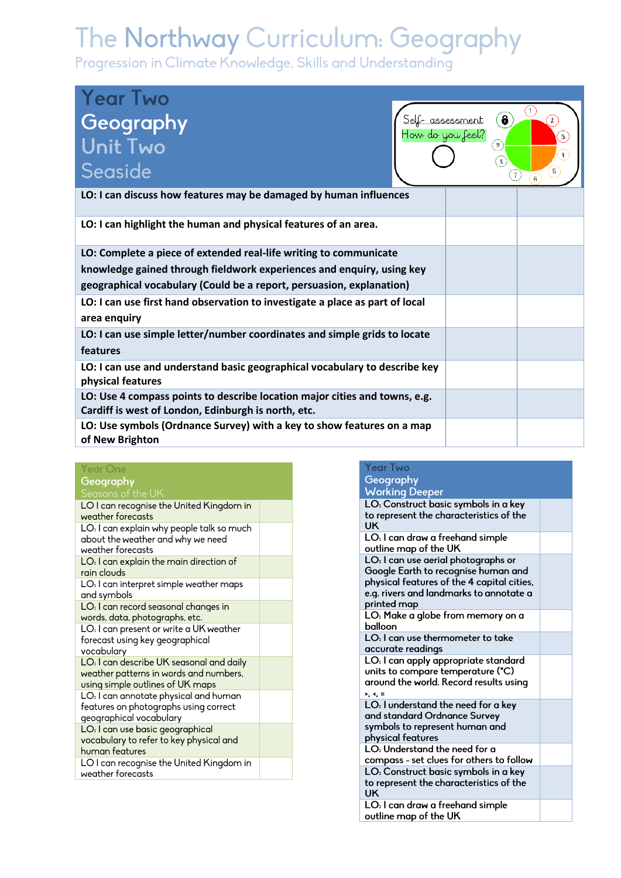| <b>Year Two</b><br>Geography<br>Unit Two<br>Seaside                                                                               | Self-assessment<br>How do you feel? | $\hat{\mathbf{e}}$<br>9 | 2<br>3<br>Ŧ<br>5<br>7 |
|-----------------------------------------------------------------------------------------------------------------------------------|-------------------------------------|-------------------------|-----------------------|
| LO: I can discuss how features may be damaged by human influences                                                                 |                                     |                         |                       |
| LO: I can highlight the human and physical features of an area.                                                                   |                                     |                         |                       |
| LO: Complete a piece of extended real-life writing to communicate                                                                 |                                     |                         |                       |
| knowledge gained through fieldwork experiences and enquiry, using key                                                             |                                     |                         |                       |
| geographical vocabulary (Could be a report, persuasion, explanation)                                                              |                                     |                         |                       |
| LO: I can use first hand observation to investigate a place as part of local<br>area enquiry                                      |                                     |                         |                       |
| LO: I can use simple letter/number coordinates and simple grids to locate                                                         |                                     |                         |                       |
| features                                                                                                                          |                                     |                         |                       |
| LO: I can use and understand basic geographical vocabulary to describe key                                                        |                                     |                         |                       |
| physical features                                                                                                                 |                                     |                         |                       |
| LO: Use 4 compass points to describe location major cities and towns, e.g.<br>Cardiff is west of London, Edinburgh is north, etc. |                                     |                         |                       |
| LO: Use symbols (Ordnance Survey) with a key to show features on a map<br>of New Brighton                                         |                                     |                         |                       |

| <b>Year One</b>                                                            |  |
|----------------------------------------------------------------------------|--|
| Geography                                                                  |  |
| Seasons of the UK                                                          |  |
| LO I can recognise the United Kingdom in                                   |  |
| weather forecasts                                                          |  |
| LO: I can explain why people talk so much                                  |  |
| about the weather and why we need                                          |  |
| weather forecasts                                                          |  |
| LO: I can explain the main direction of<br>rain clouds                     |  |
| LO: I can interpret simple weather maps                                    |  |
| and symbols                                                                |  |
| LO: I can record seasonal changes in                                       |  |
| words, data, photographs, etc.                                             |  |
| LO: I can present or write a UK weather                                    |  |
| forecast using key geographical                                            |  |
| vocabulary                                                                 |  |
| LO: I can describe UK seasonal and daily                                   |  |
| weather patterns in words and numbers,<br>using simple outlines of UK maps |  |
| LO: I can annotate physical and human                                      |  |
| features on photographs using correct                                      |  |
| geographical vocabulary                                                    |  |
| LO: I can use basic geographical                                           |  |
| vocabulary to refer to key physical and                                    |  |
| human features                                                             |  |
| LO I can recognise the United Kingdom in                                   |  |
| weather forecasts                                                          |  |

| Year Two                                                                          |  |
|-----------------------------------------------------------------------------------|--|
| Geography                                                                         |  |
| <b>Working Deeper</b>                                                             |  |
| LO: Construct basic symbols in a key                                              |  |
| to represent the characteristics of the                                           |  |
| UK                                                                                |  |
| LO: I can draw a freehand simple                                                  |  |
| outline map of the UK                                                             |  |
| LO: I can use aerial photographs or                                               |  |
| Google Earth to recognise human and<br>physical features of the 4 capital cities, |  |
| e.g. rivers and landmarks to annotate a                                           |  |
| printed map                                                                       |  |
| LO: Make a globe from memory on a                                                 |  |
| balloon                                                                           |  |
| LO: I can use thermometer to take                                                 |  |
| accurate readings                                                                 |  |
| LO: I can apply appropriate standard                                              |  |
| units to compare temperature (°C)                                                 |  |
| around the world. Record results using                                            |  |
| $\epsilon, \epsilon, \tau$<br>LO: I understand the need for a key                 |  |
| and standard Ordnance Survey                                                      |  |
| symbols to represent human and                                                    |  |
| physical features                                                                 |  |
| LO: Understand the need for a                                                     |  |
| compass - set clues for others to follow                                          |  |
| LO: Construct basic symbols in a key                                              |  |
| to represent the characteristics of the<br>UK                                     |  |
| LO: I can draw a freehand simple                                                  |  |
| outline map of the UK                                                             |  |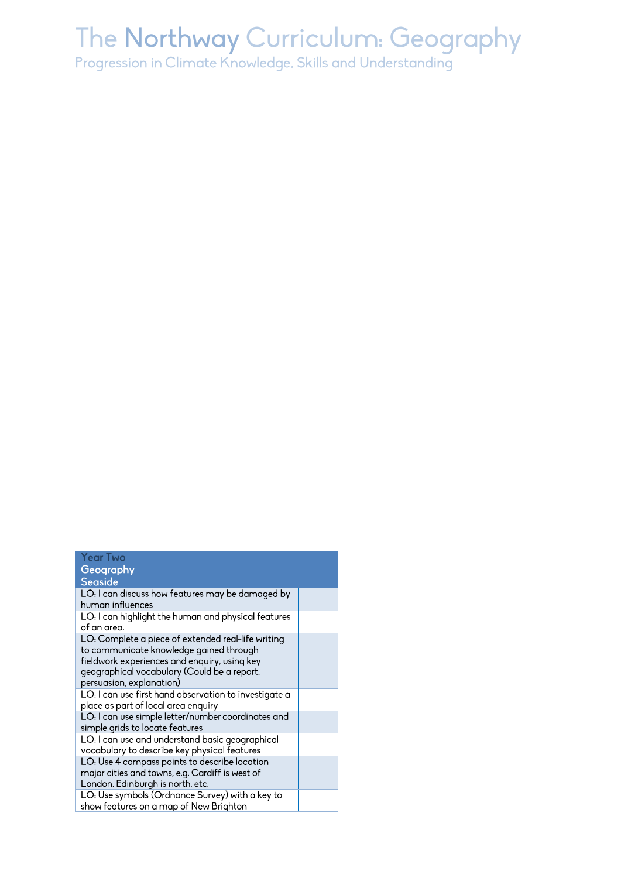| <b>Year Two</b><br>Geography                          |  |
|-------------------------------------------------------|--|
| <b>Seaside</b>                                        |  |
| LO: I can discuss how features may be damaged by      |  |
| human influences                                      |  |
| LO: I can highlight the human and physical features   |  |
| of an area.                                           |  |
| LO: Complete a piece of extended real-life writing    |  |
| to communicate knowledge gained through               |  |
| fieldwork experiences and enquiry, using key          |  |
| geographical vocabulary (Could be a report,           |  |
| persuasion, explanation)                              |  |
| LO: I can use first hand observation to investigate a |  |
| place as part of local area enquiry                   |  |
| LO: I can use simple letter/number coordinates and    |  |
| simple grids to locate features                       |  |
| LO: I can use and understand basic geographical       |  |
| vocabulary to describe key physical features          |  |
| LO: Use 4 compass points to describe location         |  |
| major cities and towns, e.g. Cardiff is west of       |  |
| London, Edinburgh is north, etc.                      |  |
| LO: Use symbols (Ordnance Survey) with a key to       |  |
| show features on a map of New Brighton                |  |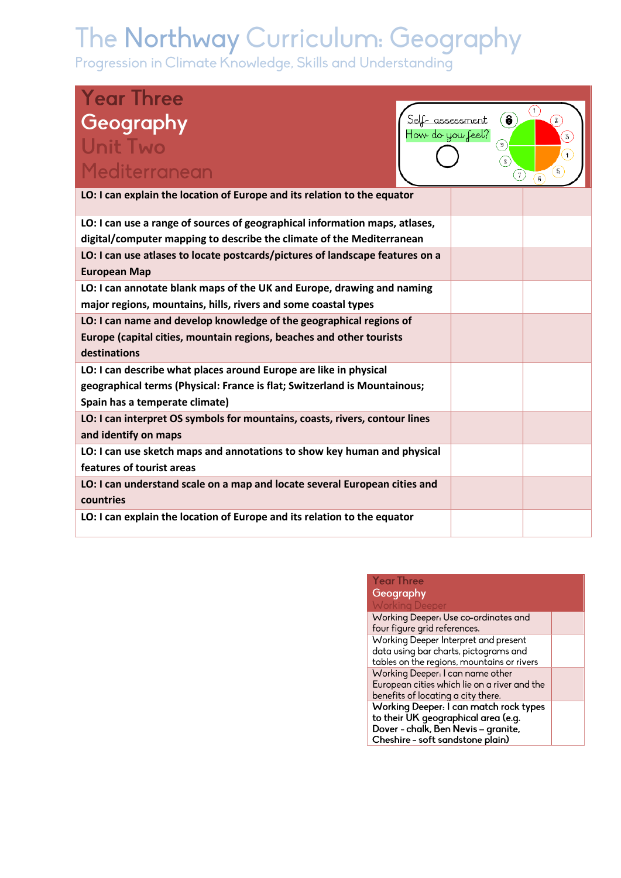| <b>Year Three</b><br>Geography<br>Self- assessment<br>How do you feel?<br><b>Unit Two</b><br>Mediterranean                                                                       | $\left( \bullet \right)$<br>$\circ$<br>$\sqrt{8}$<br>$\mathcal{T}$ | ⊙<br>$\left( \frac{1}{2} \right)$<br>3<br>Ŧ<br>$\widehat{\mathfrak{s}}$ |
|----------------------------------------------------------------------------------------------------------------------------------------------------------------------------------|--------------------------------------------------------------------|-------------------------------------------------------------------------|
| LO: I can explain the location of Europe and its relation to the equator                                                                                                         |                                                                    |                                                                         |
| LO: I can use a range of sources of geographical information maps, atlases,<br>digital/computer mapping to describe the climate of the Mediterranean                             |                                                                    |                                                                         |
| LO: I can use atlases to locate postcards/pictures of landscape features on a<br><b>European Map</b>                                                                             |                                                                    |                                                                         |
| LO: I can annotate blank maps of the UK and Europe, drawing and naming<br>major regions, mountains, hills, rivers and some coastal types                                         |                                                                    |                                                                         |
| LO: I can name and develop knowledge of the geographical regions of<br>Europe (capital cities, mountain regions, beaches and other tourists<br>destinations                      |                                                                    |                                                                         |
| LO: I can describe what places around Europe are like in physical<br>geographical terms (Physical: France is flat; Switzerland is Mountainous;<br>Spain has a temperate climate) |                                                                    |                                                                         |
| LO: I can interpret OS symbols for mountains, coasts, rivers, contour lines<br>and identify on maps                                                                              |                                                                    |                                                                         |
| LO: I can use sketch maps and annotations to show key human and physical<br>features of tourist areas                                                                            |                                                                    |                                                                         |
| LO: I can understand scale on a map and locate several European cities and<br>countries                                                                                          |                                                                    |                                                                         |
| LO: I can explain the location of Europe and its relation to the equator                                                                                                         |                                                                    |                                                                         |

| <b>Year Three</b>                            |  |
|----------------------------------------------|--|
| Geography                                    |  |
| <b>Working Deeper</b>                        |  |
| Working Deeper: Use co-ordinates and         |  |
| four figure grid references.                 |  |
| Working Deeper Interpret and present         |  |
| data using bar charts, pictograms and        |  |
| tables on the regions, mountains or rivers   |  |
| Working Deeper: I can name other             |  |
| European cities which lie on a river and the |  |
| benefits of locating a city there.           |  |
| Working Deeper: I can match rock types       |  |
| to their UK geographical area (e.g.          |  |
| Dover - chalk, Ben Nevis - granite,          |  |
| Cheshire - soft sandstone plain)             |  |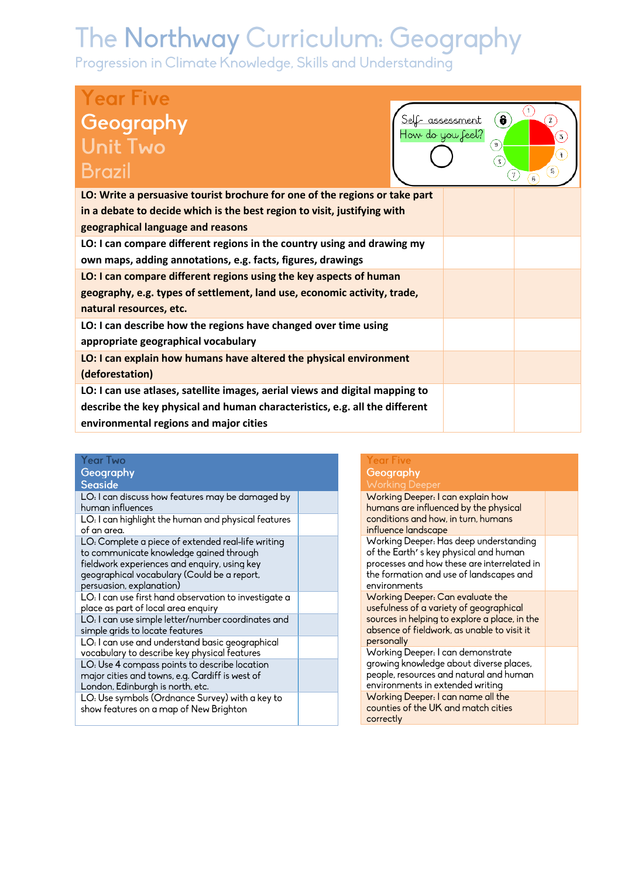| <b>Year Five</b><br>Geography<br><b>Brazil</b>                               | $\bullet$<br>Self- assessment<br>How do you feel?<br>9<br>$\overline{\mathbf{s}}$ | $\mathbf{z}$<br>3<br>$\ddot{+}$<br>5<br>$\tau$<br>6 |
|------------------------------------------------------------------------------|-----------------------------------------------------------------------------------|-----------------------------------------------------|
| LO: Write a persuasive tourist brochure for one of the regions or take part  |                                                                                   |                                                     |
| in a debate to decide which is the best region to visit, justifying with     |                                                                                   |                                                     |
| geographical language and reasons                                            |                                                                                   |                                                     |
| LO: I can compare different regions in the country using and drawing my      |                                                                                   |                                                     |
| own maps, adding annotations, e.g. facts, figures, drawings                  |                                                                                   |                                                     |
| LO: I can compare different regions using the key aspects of human           |                                                                                   |                                                     |
| geography, e.g. types of settlement, land use, economic activity, trade,     |                                                                                   |                                                     |
| natural resources, etc.                                                      |                                                                                   |                                                     |
| LO: I can describe how the regions have changed over time using              |                                                                                   |                                                     |
| appropriate geographical vocabulary                                          |                                                                                   |                                                     |
| LO: I can explain how humans have altered the physical environment           |                                                                                   |                                                     |
| (deforestation)                                                              |                                                                                   |                                                     |
| LO: I can use atlases, satellite images, aerial views and digital mapping to |                                                                                   |                                                     |
| describe the key physical and human characteristics, e.g. all the different  |                                                                                   |                                                     |
| environmental regions and major cities                                       |                                                                                   |                                                     |

| <b>Year Two</b><br>Geography<br><b>Seaside</b>                                                                                                                                                                                          | <b>Year Five</b><br>Geography<br><b>Working Deeper</b>                                                                                                                                    |
|-----------------------------------------------------------------------------------------------------------------------------------------------------------------------------------------------------------------------------------------|-------------------------------------------------------------------------------------------------------------------------------------------------------------------------------------------|
| LO: I can discuss how features may be damaged by<br>human influences<br>LO: I can highlight the human and physical features<br>of an area.                                                                                              | Working Deeper: I can explain how<br>humans are influenced by the physical<br>conditions and how, in turn, humans<br>influence landscape                                                  |
| LO: Complete a piece of extended real-life writing<br>to communicate knowledge gained through<br>fieldwork experiences and enquiry, using key<br>geographical vocabulary (Could be a report,<br>persuasion, explanation)                | Working Deeper: Has deep understanding<br>of the Earth's key physical and human<br>processes and how these are interrelated in<br>the formation and use of landscapes and<br>environments |
| LO: I can use first hand observation to investigate a<br>place as part of local area enquiry<br>LO: I can use simple letter/number coordinates and<br>simple grids to locate features                                                   | Working Deeper: Can evaluate the<br>usefulness of a variety of geographical<br>sources in helping to explore a place, in the<br>absence of fieldwork, as unable to visit it               |
| LO: I can use and understand basic geographical<br>vocabulary to describe key physical features<br>LO: Use 4 compass points to describe location<br>major cities and towns, e.g. Cardiff is west of<br>London, Edinburgh is north, etc. | personally<br>Working Deeper: I can demonstrate<br>growing knowledge about diverse places,<br>people, resources and natural and human<br>environments in extended writing                 |
| LO: Use symbols (Ordnance Survey) with a key to<br>show features on a map of New Brighton                                                                                                                                               | Working Deeper: I can name all the<br>counties of the UK and match cities<br>correctly                                                                                                    |